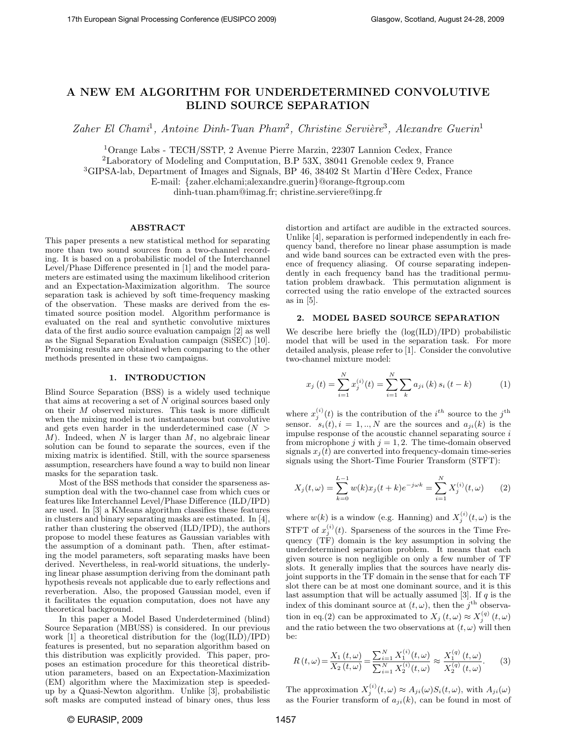# A NEW EM ALGORITHM FOR UNDERDETERMINED CONVOLUTIVE BLIND SOURCE SEPARATION

Zaher El Chami<sup>1</sup>, Antoine Dinh-Tuan Pham<sup>2</sup>, Christine Servière<sup>3</sup>, Alexandre Guerin<sup>1</sup>

<sup>1</sup>Orange Labs - TECH/SSTP, 2 Avenue Pierre Marzin, 22307 Lannion Cedex, France

<sup>2</sup>Laboratory of Modeling and Computation, B.P 53X, 38041 Grenoble cedex 9, France

<sup>3</sup>GIPSA-lab, Department of Images and Signals, BP 46, 38402 St Martin d'Hère Cedex, France

E-mail: {zaher.elchami;alexandre.guerin}@orange-ftgroup.com

dinh-tuan.pham@imag.fr; christine.serviere@inpg.fr

# ABSTRACT

This paper presents a new statistical method for separating more than two sound sources from a two-channel recording. It is based on a probabilistic model of the Interchannel Level/Phase Difference presented in [1] and the model parameters are estimated using the maximum likelihood criterion and an Expectation-Maximization algorithm. The source separation task is achieved by soft time-frequency masking of the observation. These masks are derived from the estimated source position model. Algorithm performance is evaluated on the real and synthetic convolutive mixtures data of the first audio source evaluation campaign [2] as well as the Signal Separation Evaluation campaign (SiSEC) [10]. Promising results are obtained when comparing to the other methods presented in these two campaigns.

### 1. INTRODUCTION

Blind Source Separation (BSS) is a widely used technique that aims at recovering a set of N original sources based only on their M observed mixtures. This task is more difficult when the mixing model is not instantaneous but convolutive and gets even harder in the underdetermined case  $(N >$  $M$ ). Indeed, when N is larger than  $M$ , no algebraic linear solution can be found to separate the sources, even if the mixing matrix is identified. Still, with the source sparseness assumption, researchers have found a way to build non linear masks for the separation task.

Most of the BSS methods that consider the sparseness assumption deal with the two-channel case from which cues or features like Interchannel Level/Phase Difference (ILD/IPD) are used. In [3] a KMeans algorithm classifies these features in clusters and binary separating masks are estimated. In [4], rather than clustering the observed (ILD/IPD), the authors propose to model these features as Gaussian variables with the assumption of a dominant path. Then, after estimating the model parameters, soft separating masks have been derived. Nevertheless, in real-world situations, the underlying linear phase assumption deriving from the dominant path hypothesis reveals not applicable due to early reflections and reverberation. Also, the proposed Gaussian model, even if it facilitates the equation computation, does not have any theoretical background.

In this paper a Model Based Underdetermined (blind) Source Separation (MBUSS) is considered. In our previous work [1] a theoretical distribution for the (log(ILD)/IPD) features is presented, but no separation algorithm based on this distribution was explicitly provided. This paper, proposes an estimation procedure for this theoretical distribution parameters, based on an Expectation-Maximization (EM) algorithm where the Maximization step is speededup by a Quasi-Newton algorithm. Unlike [3], probabilistic soft masks are computed instead of binary ones, thus less distortion and artifact are audible in the extracted sources. Unlike [4], separation is performed independently in each frequency band, therefore no linear phase assumption is made and wide band sources can be extracted even with the presence of frequency aliasing. Of course separating independently in each frequency band has the traditional permutation problem drawback. This permutation alignment is corrected using the ratio envelope of the extracted sources as in [5].

# 2. MODEL BASED SOURCE SEPARATION

We describe here briefly the (log(ILD)/IPD) probabilistic model that will be used in the separation task. For more detailed analysis, please refer to [1]. Consider the convolutive two-channel mixture model:

$$
x_j(t) = \sum_{i=1}^{N} x_j^{(i)}(t) = \sum_{i=1}^{N} \sum_{k} a_{ji}(k) s_i(t-k)
$$
 (1)

where  $x_j^{(i)}(t)$  is the contribution of the  $i^{th}$  source to the  $j^{th}$ sensor.  $s_i(t), i = 1, ..., N$  are the sources and  $a_{ji}(k)$  is the impulse response of the acoustic channel separating source i from microphone j with  $j = 1, 2$ . The time-domain observed signals  $x_i(t)$  are converted into frequency-domain time-series signals using the Short-Time Fourier Transform (STFT):

$$
X_j(t,\omega) = \sum_{k=0}^{L-1} w(k)x_j(t+k)e^{-j\omega k} = \sum_{i=1}^{N} X_j^{(i)}(t,\omega)
$$
 (2)

where  $w(k)$  is a window (e.g. Hanning) and  $X_j^{(i)}(t,\omega)$  is the STFT of  $x_j^{(i)}(t)$ . Sparseness of the sources in the Time Frequency (TF) domain is the key assumption in solving the underdetermined separation problem. It means that each given source is non negligible on only a few number of TF slots. It generally implies that the sources have nearly disjoint supports in the TF domain in the sense that for each TF slot there can be at most one dominant source, and it is this last assumption that will be actually assumed  $[3]$ . If  $q$  is the index of this dominant source at  $(t, \omega)$ , then the j<sup>th</sup> observation in eq.(2) can be approximated to  $X_j(t, \omega) \approx X_j^{(q)}(t, \omega)$ and the ratio between the two observations at  $(t, \omega)$  will then be:

$$
R(t,\omega) = \frac{X_1(t,\omega)}{X_2(t,\omega)} = \frac{\sum_{i=1}^{N} X_1^{(i)}(t,\omega)}{\sum_{i=1}^{N} X_2^{(i)}(t,\omega)} \approx \frac{X_1^{(q)}(t,\omega)}{X_2^{(q)}(t,\omega)}.
$$
 (3)

The approximation  $X_j^{(i)}(t, \omega) \approx A_{ji}(\omega) S_i(t, \omega)$ , with  $A_{ji}(\omega)$ as the Fourier transform of  $a_{ii}(k)$ , can be found in most of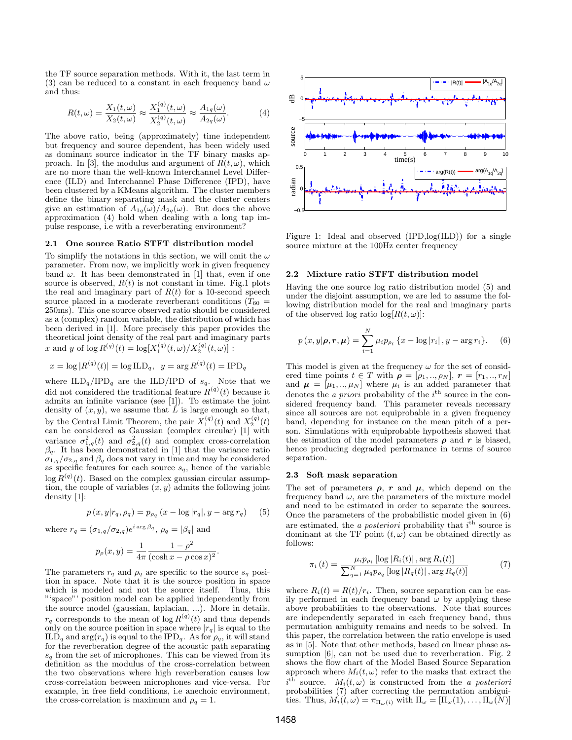the TF source separation methods. With it, the last term in (3) can be reduced to a constant in each frequency band  $\omega$ and thus:

$$
R(t,\omega) = \frac{X_1(t,\omega)}{X_2(t,\omega)} \approx \frac{X_1^{(q)}(t,\omega)}{X_2^{(q)}(t,\omega)} \approx \frac{A_{1q}(\omega)}{A_{2q}(\omega)}.
$$
 (4)

The above ratio, being (approximately) time independent but frequency and source dependent, has been widely used as dominant source indicator in the TF binary masks approach. In [3], the modulus and argument of  $R(t, \omega)$ , which are no more than the well-known Interchannel Level Difference (ILD) and Interchannel Phase Difference (IPD), have been clustered by a KMeans algorithm. The cluster members define the binary separating mask and the cluster centers give an estimation of  $A_{1q}(\omega)/A_{2q}(\omega)$ . But does the above approximation (4) hold when dealing with a long tap impulse response, i.e with a reverberating environment?

#### 2.1 One source Ratio STFT distribution model

To simplify the notations in this section, we will omit the  $\omega$ parameter. From now, we implicitly work in given frequency band  $\omega$ . It has been demonstrated in [1] that, even if one source is observed,  $R(t)$  is not constant in time. Fig.1 plots the real and imaginary part of  $R(t)$  for a 10-second speech source placed in a moderate reverberant conditions  $(T_{60} =$ 250ms). This one source observed ratio should be considered as a (complex) random variable, the distribution of which has been derived in [1]. More precisely this paper provides the theoretical joint density of the real part and imaginary parts x and y of  $\log R^{(q)}(t) = \log[X_1^{(q)}(t,\omega)/X_2^{(q)}(t,\omega)]$ :

$$
x = \log |R^{(q)}(t)| = \log ILD_q, \ \ y = \arg R^{(q)}(t) = IPD_q
$$

where  $\text{ILD}_q/\text{IPD}_q$  are the ILD/IPD of  $s_q$ . Note that we did not considered the traditional feature  $R^{(q)}(t)$  because it admits an infinite variance (see [1]). To estimate the joint density of  $(x, y)$ , we assume that  $\overrightarrow{L}$  is large enough so that, by the Central Limit Theorem, the pair  $X_1^{(q)}(t)$  and  $X_2^{(q)}(t)$ can be considered as Gaussian (complex circular) [1] with variance  $\sigma_{1,q}^2(t)$  and  $\sigma_{2,q}^2(t)$  and complex cross-correlation  $\beta_q$ . It has been demonstrated in [1] that the variance ratio  $\sigma_{1,q}/\sigma_{2,q}$  and  $\beta_q$  does not vary in time and may be considered as specific features for each source  $s_q$ , hence of the variable  $\log R^{(q)}(t)$ . Based on the complex gaussian circular assumption, the couple of variables  $(x, y)$  admits the following joint density [1]:

$$
p(x, y | r_q, \rho_q) = p_{\rho_q}(x - \log |r_q|, y - \arg r_q)
$$
 (5)

.

where  $r_q = (\sigma_{1,q}/\sigma_{2,q})e^{i \arg \beta_q}, \rho_q = |\beta_q|$  and

$$
p_{\rho}(x, y) = \frac{1}{4\pi} \frac{1 - \rho^{2}}{(\cosh x - \rho \cos x)^{2}}
$$

The parameters  $r_q$  and  $\rho_q$  are specific to the source  $s_q$  position in space. Note that it is the source position in space which is modeled and not the source itself. Thus, this "'space"' position model can be applied independently from the source model (gaussian, laplacian, ...). More in details,  $r_q$  corresponds to the mean of  $\log R^{(q)}(t)$  and thus depends only on the source position in space where  $|r_q|$  is equal to the  $\text{ILD}_q$  and  $\arg(r_q)$  is equal to the IPD<sub>q</sub>. As for  $\rho_q$ , it will stand for the reverberation degree of the acoustic path separating  $s_q$  from the set of microphones. This can be viewed from its definition as the modulus of the cross-correlation between the two observations where high reverberation causes low cross-correlation between microphones and vice-versa. For example, in free field conditions, i.e anechoic environment, the cross-correlation is maximum and  $\rho_a = 1$ .



Figure 1: Ideal and observed (IPD,log(ILD)) for a single source mixture at the 100Hz center frequency

## 2.2 Mixture ratio STFT distribution model

Having the one source log ratio distribution model (5) and under the disjoint assumption, we are led to assume the following distribution model for the real and imaginary parts of the observed log ratio  $log[R(t, \omega)]$ :

$$
p(x, y | \boldsymbol{\rho}, \boldsymbol{r}, \boldsymbol{\mu}) = \sum_{i=1}^{N} \mu_i p_{\rho_i} \{ x - \log |r_i|, y - \arg r_i \}. \tag{6}
$$

This model is given at the frequency  $\omega$  for the set of considered time points  $t \in T$  with  $\rho = [\rho_1, ..., \rho_N], r = [r_1, ..., r_N]$ and  $\mu = [\mu_1, ..., \mu_N]$  where  $\mu_i$  is an added parameter that denotes the *a priori* probability of the  $i^{\text{th}}$  source in the considered frequency band. This parameter reveals necessary since all sources are not equiprobable in a given frequency band, depending for instance on the mean pitch of a person. Simulations with equiprobable hypothesis showed that the estimation of the model parameters  $\rho$  and r is biased, hence producing degraded performance in terms of source separation.

#### 2.3 Soft mask separation

The set of parameters  $\rho$ , r and  $\mu$ , which depend on the frequency band  $\omega$ , are the parameters of the mixture model and need to be estimated in order to separate the sources. Once the parameters of the probabilistic model given in (6) are estimated, the *a posteriori* probability that  $i<sup>th</sup>$  source is dominant at the TF point  $(t, \omega)$  can be obtained directly as follows:

$$
\pi_{i}(t) = \frac{\mu_{i} p_{\rho_{i}} \left[ \log |R_{i}(t)|, \arg R_{i}(t) \right]}{\sum_{q=1}^{N} \mu_{q} p_{\rho_{q}} \left[ \log |R_{q}(t)|, \arg R_{q}(t) \right]}
$$
(7)

where  $R_i(t) = R(t)/r_i$ . Then, source separation can be easily performed in each frequency band  $\omega$  by applying these above probabilities to the observations. Note that sources are independently separated in each frequency band, thus permutation ambiguity remains and needs to be solved. In this paper, the correlation between the ratio envelope is used as in [5]. Note that other methods, based on linear phase assumption [6], can not be used due to reverberation. Fig. 2 shows the flow chart of the Model Based Source Separation approach where  $M_i(t, \omega)$  refer to the masks that extract the  $i^{\text{th}}$  source.  $M_i(t,\omega)$  is constructed from the a posteriori probabilities (7) after correcting the permutation ambiguities. Thus,  $M_i(t, \omega) = \pi_{\Pi_{\omega}(i)}$  with  $\Pi_{\omega} = [\Pi_{\omega}(1), \dots, \Pi_{\omega}(N)]$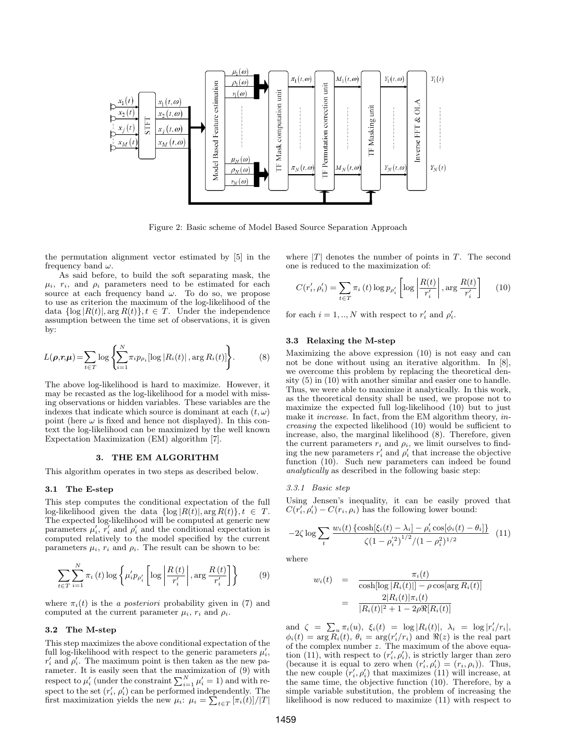

Figure 2: Basic scheme of Model Based Source Separation Approach

the permutation alignment vector estimated by [5] in the frequency band  $\omega$ .

As said before, to build the soft separating mask, the  $\mu_i$ ,  $r_i$ , and  $\rho_i$  parameters need to be estimated for each source at each frequency band  $\omega$ . To do so, we propose to use as criterion the maximum of the log-likelihood of the data  $\{\log |R(t)|, \arg R(t)\}, t \in T$ . Under the independence assumption between the time set of observations, it is given by:

$$
L(\boldsymbol{\rho}, \boldsymbol{r}, \boldsymbol{\mu}) = \sum_{t \in T} \log \left\{ \sum_{i=1}^{N} \pi_i p_{\rho_i} [\log |R_i(t)|, \arg R_i(t)] \right\}.
$$
 (8)

The above log-likelihood is hard to maximize. However, it may be recasted as the log-likelihood for a model with missing observations or hidden variables. These variables are the indexes that indicate which source is dominant at each  $(t, \omega)$ point (here  $\omega$  is fixed and hence not displayed). In this context the log-likelihood can be maximized by the well known Expectation Maximization (EM) algorithm [7].

### 3. THE EM ALGORITHM

This algorithm operates in two steps as described below.

# 3.1 The E-step

This step computes the conditional expectation of the full log-likelihood given the data  $\{\log |R(t)|, \arg R(t)\}, t \in T$ . The expected log-likelihood will be computed at generic new parameters  $\mu'_i$ ,  $\overline{r'_i}$  and  $\rho'_i$  and the conditional expectation is computed relatively to the model specified by the current parameters  $\mu_i$ ,  $r_i$  and  $\rho_i$ . The result can be shown to be:

$$
\sum_{t \in T} \sum_{i=1}^{N} \pi_i(t) \log \left\{ \mu'_i p_{\rho'_i} \left[ \log \left| \frac{R(t)}{r'_i} \right|, \arg \frac{R(t)}{r'_i} \right] \right\} \tag{9}
$$

where  $\pi_i(t)$  is the *a posteriori* probability given in (7) and computed at the current parameter  $\mu_i$ ,  $r_i$  and  $\rho_i$ .

# 3.2 The M-step

This step maximizes the above conditional expectation of the full log-likelihood with respect to the generic parameters  $\mu'_i$ ,  $r'_i$  and  $\rho'_i$ . The maximum point is then taken as the new parameter. It is easily seen that the maximization of (9) with respect to  $\mu'_i$  (under the constraint  $\sum_{i=1}^{N} \mu'_i = 1$ ) and with respect to the set  $(r'_i, \rho'_i)$  can be performed independently. The first maximization yields the new  $\mu_i$ :  $\mu_i = \sum_{t \in T} [\pi_i(t)]/|T|$  where  $|T|$  denotes the number of points in T. The second one is reduced to the maximization of:

$$
C(r'_{i}, \rho'_{i}) = \sum_{t \in T} \pi_{i}(t) \log p_{\rho'_{i}} \left[ \log \left| \frac{R(t)}{r'_{i}} \right|, \arg \frac{R(t)}{r'_{i}} \right] \tag{10}
$$

for each  $i = 1, ..., N$  with respect to  $r'_i$  and  $\rho'_i$ .

## 3.3 Relaxing the M-step

Maximizing the above expression (10) is not easy and can not be done without using an iterative algorithm. In [8], we overcome this problem by replacing the theoretical density (5) in (10) with another similar and easier one to handle. Thus, we were able to maximize it analytically. In this work, as the theoretical density shall be used, we propose not to maximize the expected full log-likelihood (10) but to just make it *increase*. In fact, from the EM algorithm theory, *in*creasing the expected likelihood (10) would be sufficient to increase, also, the marginal likelihood (8). Therefore, given the current parameters  $r_i$  and  $\rho_i$ , we limit ourselves to finding the new parameters  $r'_i$  and  $\rho'_i$  that increase the objective function (10). Such new parameters can indeed be found analytically as described in the following basic step:

## 3.3.1 Basic step

Using Jensen's inequality, it can be easily proved that  $C(r_i', \rho_i') - C(r_i, \rho_i)$  has the following lower bound:

$$
-2\zeta \log \sum_{t} \frac{w_i(t) \left\{ \cosh[\xi_i(t) - \lambda_i] - \rho'_i \cos[\phi_i(t) - \theta_i] \right\}}{\zeta (1 - \rho_i'^2)^{1/2} / (1 - \rho_i^2)^{1/2}} \tag{11}
$$

where

$$
w_i(t) = \frac{\pi_i(t)}{\cosh[\log|R_i(t)|] - \rho \cos[\arg R_i(t)]}
$$

$$
= \frac{2|R_i(t)|\pi_i(t)}{|R_i(t)|^2 + 1 - 2\rho \Re[R_i(t)]}
$$

and  $\zeta = \sum_{u} \pi_i(u)$ ,  $\xi_i(t) = \log |R_i(t)|$ ,  $\lambda_i = \log |r'_i/r_i|$ ,  $\phi_i(t) = \arg \overline{R_i}(t), \theta_i = \arg(r_i'/r_i)$  and  $\Re(z)$  is the real part of the complex number z. The maximum of the above equation (11), with respect to  $(r'_i, \rho'_i)$ , is strictly larger than zero (because it is equal to zero when  $(r'_i, \rho'_i) = (r_i, \rho_i)$ ). Thus, the new couple  $(r'_i, \rho'_i)$  that maximizes (11) will increase, at the same time, the objective function (10). Therefore, by a simple variable substitution, the problem of increasing the likelihood is now reduced to maximize (11) with respect to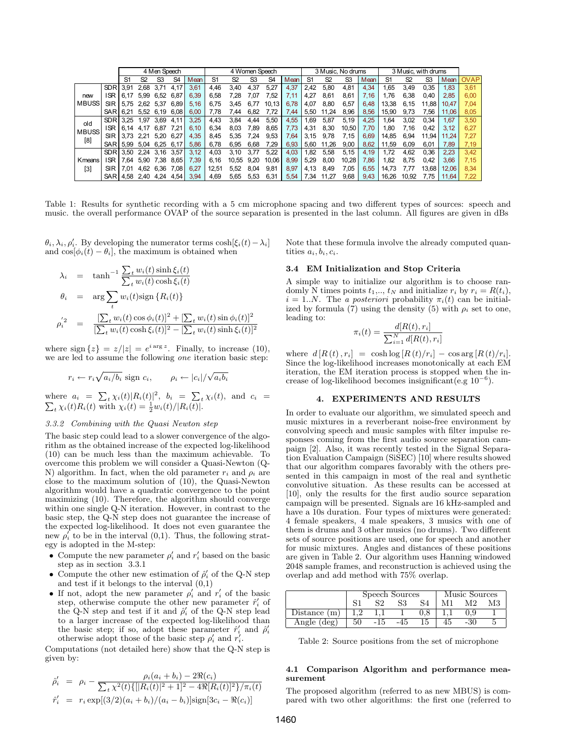|                             |            | 4 Men Speech   |      |                |                | 4 Women Speech |                |                |      | 3 Music. No drums |      |                |       | 3 Music, with drums |      |                |                |                |       |             |
|-----------------------------|------------|----------------|------|----------------|----------------|----------------|----------------|----------------|------|-------------------|------|----------------|-------|---------------------|------|----------------|----------------|----------------|-------|-------------|
|                             |            | S <sub>1</sub> | S2   | S <sub>3</sub> | S <sub>4</sub> | Mean           | S <sub>1</sub> | S <sub>2</sub> | S3   | S4                | Mean | S <sub>1</sub> | S2    | S3                  | Mean | S <sub>1</sub> | S <sub>2</sub> | S <sub>3</sub> | Mean  | <b>OVAP</b> |
| new<br><b>MBUSS</b>         | <b>SDR</b> | 3.91           | 2.68 | 3.71           | 4.17           | 3.61           | 4.46           | 3.40           | 4.37 | 5.27              | 4.37 | 2.42           | 5.80  | 4,81                | 4.34 | .65            | 3.49           | 0.35           | 1.83  | 3,61        |
|                             | ISR        | 6.17           | 5.99 | 6.52           | 6.87           | 6.39           | 6.58           | 7.28           | 07:  | 7.52              | 7,11 | 4.27           | 8.61  | 8,61                | 7.16 | 1.76           | 6.38           | 0.40           | 2.85  | 6.00        |
|                             | SIR        | 5.75           | 2.62 | 5.37           | 6.89           | 5.16           | 6.75           | 3.45           | 6.   | 10.13             | 6.78 | 4.07           | 8.80  | 6,57                | 6.48 | 13.38          | 6.15           | 11.88          | 10.47 | 7.04        |
|                             | <b>SAR</b> | 6,21           | 5.52 | 6.19           | 6.08           | 6,00           | 7.78           | 7.44           | 6.82 | '.72              | 7.44 | 5.50           | 11.24 | 8,96                | 8,56 | 15.90          | 9.73           | 7.56           | 11.06 | 8,05        |
| old<br><b>MBUSS</b><br>[8]  | <b>SDR</b> | 3.25           | .97  | 3.69           | 4.11           | 3.25           | 4,43           | 3.84           | 4.44 | 5,50              | 4,55 | .69            | 5.87  | 5.19                | 4,25 | 1.64           | 3,02           | 0.34           | ,67   | 3,50        |
|                             | ISR        | 6.14           | 4.17 | 6.87           | 7.21           | 6.10           | 6.34           | 8.03           | 7.89 | 8,65              | 7,73 | 4.31           | 8.30  | 10.50               | 7.70 | .80            | 7.16           | 0.42           | 3.12  | 6.27        |
|                             | SIR        | 3.73           | 2.21 | 5.20           | 6.27           | 4.35           | 8.45           | 5.35           | .24  | 9.53              | 7,64 | 3.15           | 9.78  | 7.15                | 6.69 | 14.85          | 6.94           | 11.94          | 11.24 | 7.27        |
|                             | <b>SAR</b> | 5.99           | 5.04 | 6.25           | 6.17           | 5.86           | 6.78           | 6.95           | 6.68 | 7,29              | 6.93 | 5.60           | .26   | 9.00                | 8.62 | 11.59          | 6.09           | 6.01           | 7.89  | 7.19        |
| Kmeans<br>$\lceil 3 \rceil$ | <b>SDR</b> | 3.50           | 2.24 | 3.16           | 3.57           | 3.12           | 4.03           | 3.10           | 3.77 | 5.22              | 4,03 | .82            | 5.58  | 5.15                | 4,19 | 1,72           | 4.62           | 0.36           | 2.23  | 3,42        |
|                             | <b>ISR</b> | 7.64           | 5.90 | :38            | 8.65           | 7.39           | 6.16           | 10.55          | 9.20 | 10.06             | 8,99 | 5.29           | 8.00  | 10.28               | 7.86 | 1,82           | 8.75           | 0.42           | 3.66  | 7.15        |
|                             | SIR        | 7.01           | 4.62 | 6.36           | 7.08           | 6.27           | 12.51          | 5.52           | 8.04 | 9.81              | 8.97 | 4.13           | 8.49  | 7.05                | 6.55 | 14.73          |                | 13.68          | 12.06 | 8.34        |
|                             | <b>SAR</b> | 4.58           | 2.40 | 4.24           | 4.54           | 3.94           | 4.69           | 5.65           | 5.53 | 6,31              | 5.54 | .34            |       | 9.68                | 9.43 | 16.26          | 10.92          | 7.75           | 11.64 | 7,22        |

Table 1: Results for synthetic recording with a 5 cm microphone spacing and two different types of sources: speech and music. the overall performance OVAP of the source separation is presented in the last column. All figures are given in dBs

 $\theta_i, \lambda_i, \rho'_i$ . By developing the numerator terms  $\cosh[\xi_i(t) - \lambda_i]$ and  $\cos[\phi_i(t) - \theta_i]$ , the maximum is obtained when

$$
\lambda_i = \tanh^{-1} \frac{\sum_t w_i(t) \sinh \xi_i(t)}{\sum_t w_i(t) \cosh \xi_i(t)}
$$
  
\n
$$
\theta_i = \arg \sum_t w_i(t) \sin \{R_i(t)\}
$$
  
\n
$$
\rho_i'^2 = \frac{[\sum_t w_i(t) \cos \phi_i(t)]^2 + [\sum_t w_i(t) \sin \phi_i(t)]^2}{[\sum_t w_i(t) \cosh \xi_i(t)]^2 - [\sum_t w_i(t) \sinh \xi_i(t)]^2}
$$

where  $\text{sign}\{z\} = z/|z| = e^{i \arg z}$ . Finally, to increase (10), we are led to assume the following one iteration basic step:

$$
r_i \leftarrow r_i \sqrt{a_i/b_i} \text{ sign } c_i, \qquad \rho_i \leftarrow |c_i|/\sqrt{a_i b_i}
$$

where  $a_i = \sum_t \chi_i(t) |R_i(t)|^2$ ,  $b_i = \sum_t \chi_i(t)$ , and  $c_i = \sum_t \chi_i(t) R_i(t)$  with  $\chi_i(t) = \frac{1}{2} w_i(t) / |R_i(t)|$ .

### 3.3.2 Combining with the Quasi Newton step

The basic step could lead to a slower convergence of the algorithm as the obtained increase of the expected log-likelihood (10) can be much less than the maximum achievable. To overcome this problem we will consider a Quasi-Newton (Q-N) algorithm. In fact, when the old parameter  $r_i$  and  $\rho_i$  are close to the maximum solution of (10), the Quasi-Newton algorithm would have a quadratic convergence to the point maximizing (10). Therefore, the algorithm should converge within one single Q-N iteration. However, in contrast to the basic step, the Q-N step does not guarantee the increase of the expected log-likelihood. It does not even guarantee the new  $\rho'_i$  to be in the interval  $(0,1)$ . Thus, the following strategy is adopted in the M-step:

- Compute the new parameter  $\rho'_i$  and  $r'_i$  based on the basic step as in section 3.3.1
- Compute the other new estimation of  $\hat{\rho}'_i$  of the Q-N step and test if it belongs to the interval (0,1)
- If not, adopt the new parameter  $\rho'_i$  and  $r'_i$  of the basic step, otherwise compute the other new parameter  $\hat{r}'_i$  of the Q-N step and test if it and  $\rho'_i$  of the Q-N step lead to a larger increase of the expected log-likelihood than the basic step; if so, adopt these parameter  $\hat{r}'_i$  and  $\hat{\rho}'_i$ otherwise adopt those of the basic step  $\rho'_i$  and  $r'_i$ .

Computations (not detailed here) show that the Q-N step is given by:

$$
\hat{\rho}'_i = \rho_i - \frac{\rho_i(a_i + b_i) - 2\Re(c_i)}{\sum_t \chi^2(t) \{[|R_i(t)|^2 + 1]^2 - 4\Re[R_i(t)]^2\}/\pi_i(t)}
$$
  

$$
\hat{r}'_i = r_i \exp[(3/2)(a_i + b_i)/(a_i - b_i)] \text{sign}[3c_i - \Re(c_i)]
$$

Note that these formula involve the already computed quantities  $a_i, b_i, c_i$ .

## 3.4 EM Initialization and Stop Criteria

A simple way to initialize our algorithm is to choose randomly N times points  $t_1, \ldots, t_N$  and initialize  $r_i$  by  $r_i = R(t_i)$ ,  $i = 1..N$ . The a posteriori probability  $\pi_i(t)$  can be initialized by formula (7) using the density (5) with  $\rho_i$  set to one, leading to:

$$
\pi_i(t) = \frac{d[R(t), r_i]}{\sum_{i=1}^N d[R(t), r_i]}
$$

where  $d[R(t), r_i] = \cosh \log[R(t)/r_i] - \cos \arg[R(t)/r_i].$ Since the log-likelihood increases monotonically at each EM iteration, the EM iteration process is stopped when the increase of log-likelihood becomes insignificant(e.g  $10^{-6}$ ).

# 4. EXPERIMENTS AND RESULTS

In order to evaluate our algorithm, we simulated speech and music mixtures in a reverberant noise-free environment by convolving speech and music samples with filter impulse responses coming from the first audio source separation campaign [2]. Also, it was recently tested in the Signal Separation Evaluation Campaign (SiSEC) [10] where results showed that our algorithm compares favorably with the others presented in this campaign in most of the real and synthetic convolutive situation. As these results can be accessed at [10], only the results for the first audio source separation campaign will be presented. Signals are 16 kHz-sampled and have a 10s duration. Four types of mixtures were generated: 4 female speakers, 4 male speakers, 3 musics with one of them is drums and 3 other musics (no drums). Two different sets of source positions are used, one for speech and another for music mixtures. Angles and distances of these positions are given in Table 2. Our algorithm uses Hanning windowed 2048 sample frames, and reconstruction is achieved using the overlap and add method with 75% overlap.

|                |    | Speech Sources |  | Music Sources |  |      |  |  |
|----------------|----|----------------|--|---------------|--|------|--|--|
|                |    | 82             |  |               |  | М2   |  |  |
| Distance $(m)$ |    |                |  |               |  | J.9- |  |  |
| Angle (deg)    | 50 | -15            |  |               |  |      |  |  |

Table 2: Source positions from the set of microphone

# 4.1 Comparison Algorithm and performance measurement

The proposed algorithm (referred to as new MBUS) is compared with two other algorithms: the first one (referred to